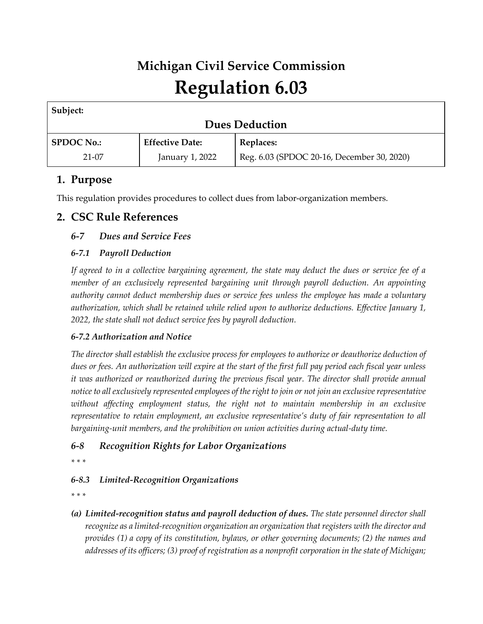# **Michigan Civil Service Commission Regulation 6.03**

| Subject:              |                        |                                            |
|-----------------------|------------------------|--------------------------------------------|
| <b>Dues Deduction</b> |                        |                                            |
| <b>SPDOC No.:</b>     | <b>Effective Date:</b> | Replaces:                                  |
| $21-07$               | January 1, 2022        | Reg. 6.03 (SPDOC 20-16, December 30, 2020) |

# **1. Purpose**

This regulation provides procedures to collect dues from labor-organization members.

## **2. CSC Rule References**

### *6-7 Dues and Service Fees*

### *6-7.1 Payroll Deduction*

*If agreed to in a collective bargaining agreement, the state may deduct the dues or service fee of a member of an exclusively represented bargaining unit through payroll deduction. An appointing authority cannot deduct membership dues or service fees unless the employee has made a voluntary authorization, which shall be retained while relied upon to authorize deductions. Effective January 1, 2022, the state shall not deduct service fees by payroll deduction.*

#### *6-7.2 Authorization and Notice*

*The director shall establish the exclusive process for employees to authorize or deauthorize deduction of dues or fees. An authorization will expire at the start of the first full pay period each fiscal year unless it was authorized or reauthorized during the previous fiscal year. The director shall provide annual notice to all exclusively represented employees of the right to join or not join an exclusive representative without affecting employment status, the right not to maintain membership in an exclusive representative to retain employment, an exclusive representative's duty of fair representation to all bargaining-unit members, and the prohibition on union activities during actual-duty time.*

## *6-8 Recognition Rights for Labor Organizations*

*\* \* \** 

# *6-8.3 Limited-Recognition Organizations*

*\* \* \**

*(a) Limited-recognition status and payroll deduction of dues. The state personnel director shall recognize as a limited-recognition organization an organization that registers with the director and provides (1) a copy of its constitution, bylaws, or other governing documents; (2) the names and addresses of its officers; (3) proof of registration as a nonprofit corporation in the state of Michigan;*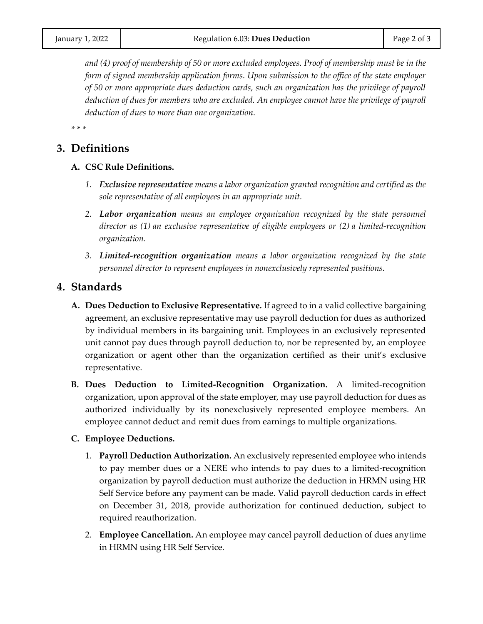*and (4) proof of membership of 50 or more excluded employees. Proof of membership must be in the form of signed membership application forms. Upon submission to the office of the state employer of 50 or more appropriate dues deduction cards, such an organization has the privilege of payroll deduction of dues for members who are excluded. An employee cannot have the privilege of payroll deduction of dues to more than one organization.*

*\* \* \** 

## **3. Definitions**

- **A. CSC Rule Definitions.**
	- *1. Exclusive representative means a labor organization granted recognition and certified as the sole representative of all employees in an appropriate unit.*
	- *2. Labor organization means an employee organization recognized by the state personnel director as (1) an exclusive representative of eligible employees or (2) a limited-recognition organization.*
	- *3. Limited-recognition organization means a labor organization recognized by the state personnel director to represent employees in nonexclusively represented positions.*

### **4. Standards**

- **A. Dues Deduction to Exclusive Representative.** If agreed to in a valid collective bargaining agreement, an exclusive representative may use payroll deduction for dues as authorized by individual members in its bargaining unit. Employees in an exclusively represented unit cannot pay dues through payroll deduction to, nor be represented by, an employee organization or agent other than the organization certified as their unit's exclusive representative.
- **B. Dues Deduction to Limited-Recognition Organization.** A limited-recognition organization, upon approval of the state employer, may use payroll deduction for dues as authorized individually by its nonexclusively represented employee members. An employee cannot deduct and remit dues from earnings to multiple organizations.

#### **C. Employee Deductions.**

- 1. **Payroll Deduction Authorization.** An exclusively represented employee who intends to pay member dues or a NERE who intends to pay dues to a limited-recognition organization by payroll deduction must authorize the deduction in HRMN using HR Self Service before any payment can be made. Valid payroll deduction cards in effect on December 31, 2018, provide authorization for continued deduction, subject to required reauthorization.
- 2. **Employee Cancellation.** An employee may cancel payroll deduction of dues anytime in HRMN using HR Self Service.